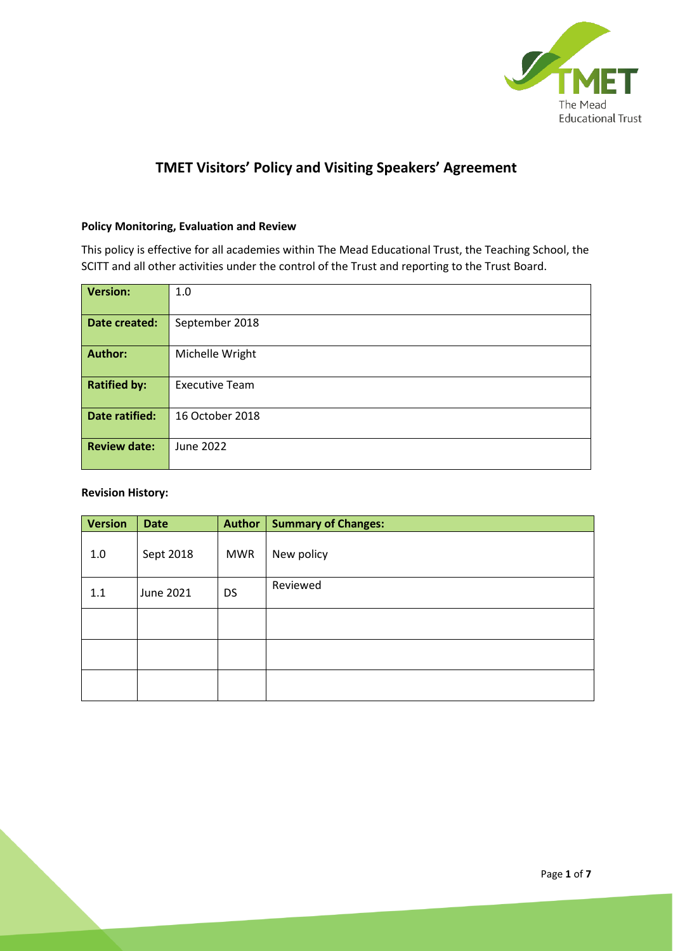

# **TMET Visitors' Policy and Visiting Speakers' Agreement**

### **Policy Monitoring, Evaluation and Review**

This policy is effective for all academies within The Mead Educational Trust, the Teaching School, the SCITT and all other activities under the control of the Trust and reporting to the Trust Board.

| <b>Version:</b>       | 1.0                   |
|-----------------------|-----------------------|
| Date created:         | September 2018        |
| <b>Author:</b>        | Michelle Wright       |
| <b>Ratified by:</b>   | <b>Executive Team</b> |
| <b>Date ratified:</b> | 16 October 2018       |
| <b>Review date:</b>   | June 2022             |

#### **Revision History:**

| <b>Version</b> | <b>Date</b> | <b>Author</b> | <b>Summary of Changes:</b> |
|----------------|-------------|---------------|----------------------------|
| 1.0            | Sept 2018   | <b>MWR</b>    | New policy                 |
| 1.1            | June 2021   | <b>DS</b>     | Reviewed                   |
|                |             |               |                            |
|                |             |               |                            |
|                |             |               |                            |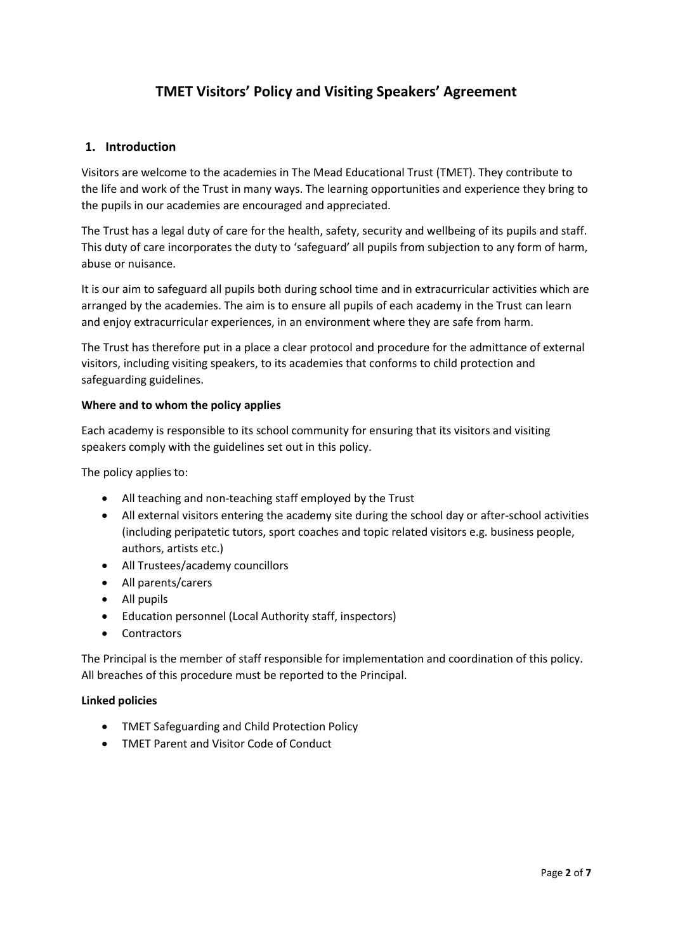# **TMET Visitors' Policy and Visiting Speakers' Agreement**

### **1. Introduction**

Visitors are welcome to the academies in The Mead Educational Trust (TMET). They contribute to the life and work of the Trust in many ways. The learning opportunities and experience they bring to the pupils in our academies are encouraged and appreciated.

The Trust has a legal duty of care for the health, safety, security and wellbeing of its pupils and staff. This duty of care incorporates the duty to 'safeguard' all pupils from subjection to any form of harm, abuse or nuisance.

It is our aim to safeguard all pupils both during school time and in extracurricular activities which are arranged by the academies. The aim is to ensure all pupils of each academy in the Trust can learn and enjoy extracurricular experiences, in an environment where they are safe from harm.

The Trust has therefore put in a place a clear protocol and procedure for the admittance of external visitors, including visiting speakers, to its academies that conforms to child protection and safeguarding guidelines.

#### **Where and to whom the policy applies**

Each academy is responsible to its school community for ensuring that its visitors and visiting speakers comply with the guidelines set out in this policy.

The policy applies to:

- All teaching and non-teaching staff employed by the Trust
- All external visitors entering the academy site during the school day or after-school activities (including peripatetic tutors, sport coaches and topic related visitors e.g. business people, authors, artists etc.)
- All Trustees/academy councillors
- All parents/carers
- All pupils
- Education personnel (Local Authority staff, inspectors)
- Contractors

The Principal is the member of staff responsible for implementation and coordination of this policy. All breaches of this procedure must be reported to the Principal.

#### **Linked policies**

- TMET Safeguarding and Child Protection Policy
- TMET Parent and Visitor Code of Conduct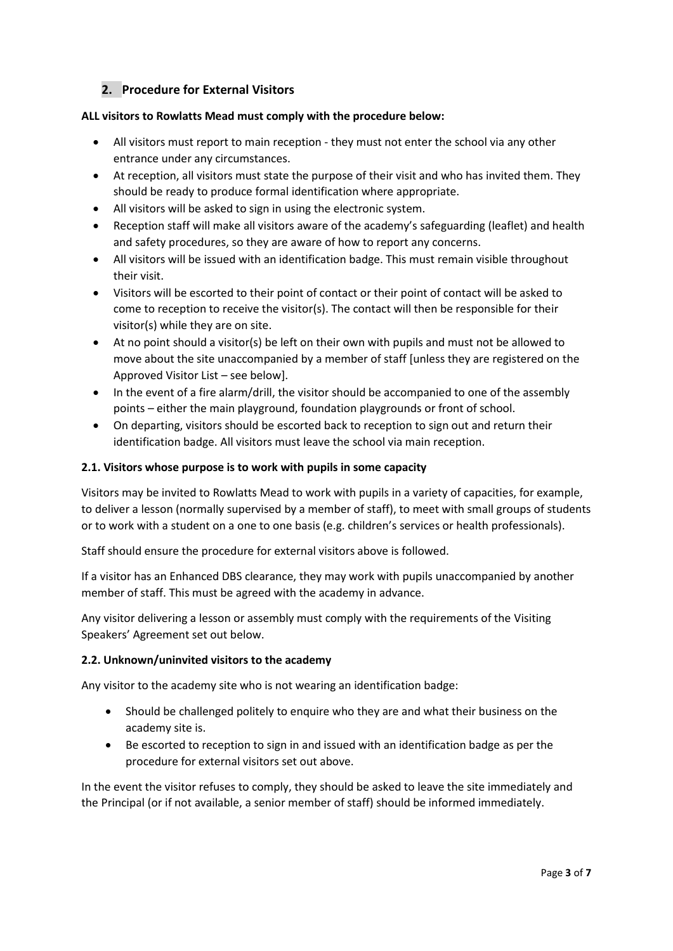## **2. Procedure for External Visitors**

#### **ALL visitors to Rowlatts Mead must comply with the procedure below:**

- All visitors must report to main reception they must not enter the school via any other entrance under any circumstances.
- At reception, all visitors must state the purpose of their visit and who has invited them. They should be ready to produce formal identification where appropriate.
- All visitors will be asked to sign in using the electronic system.
- Reception staff will make all visitors aware of the academy's safeguarding (leaflet) and health and safety procedures, so they are aware of how to report any concerns.
- All visitors will be issued with an identification badge. This must remain visible throughout their visit.
- Visitors will be escorted to their point of contact or their point of contact will be asked to come to reception to receive the visitor(s). The contact will then be responsible for their visitor(s) while they are on site.
- At no point should a visitor(s) be left on their own with pupils and must not be allowed to move about the site unaccompanied by a member of staff [unless they are registered on the Approved Visitor List – see below].
- In the event of a fire alarm/drill, the visitor should be accompanied to one of the assembly points – either the main playground, foundation playgrounds or front of school.
- On departing, visitors should be escorted back to reception to sign out and return their identification badge. All visitors must leave the school via main reception.

#### **2.1. Visitors whose purpose is to work with pupils in some capacity**

Visitors may be invited to Rowlatts Mead to work with pupils in a variety of capacities, for example, to deliver a lesson (normally supervised by a member of staff), to meet with small groups of students or to work with a student on a one to one basis (e.g. children's services or health professionals).

Staff should ensure the procedure for external visitors above is followed.

If a visitor has an Enhanced DBS clearance, they may work with pupils unaccompanied by another member of staff. This must be agreed with the academy in advance.

Any visitor delivering a lesson or assembly must comply with the requirements of the Visiting Speakers' Agreement set out below.

#### **2.2. Unknown/uninvited visitors to the academy**

Any visitor to the academy site who is not wearing an identification badge:

- Should be challenged politely to enquire who they are and what their business on the academy site is.
- Be escorted to reception to sign in and issued with an identification badge as per the procedure for external visitors set out above.

In the event the visitor refuses to comply, they should be asked to leave the site immediately and the Principal (or if not available, a senior member of staff) should be informed immediately.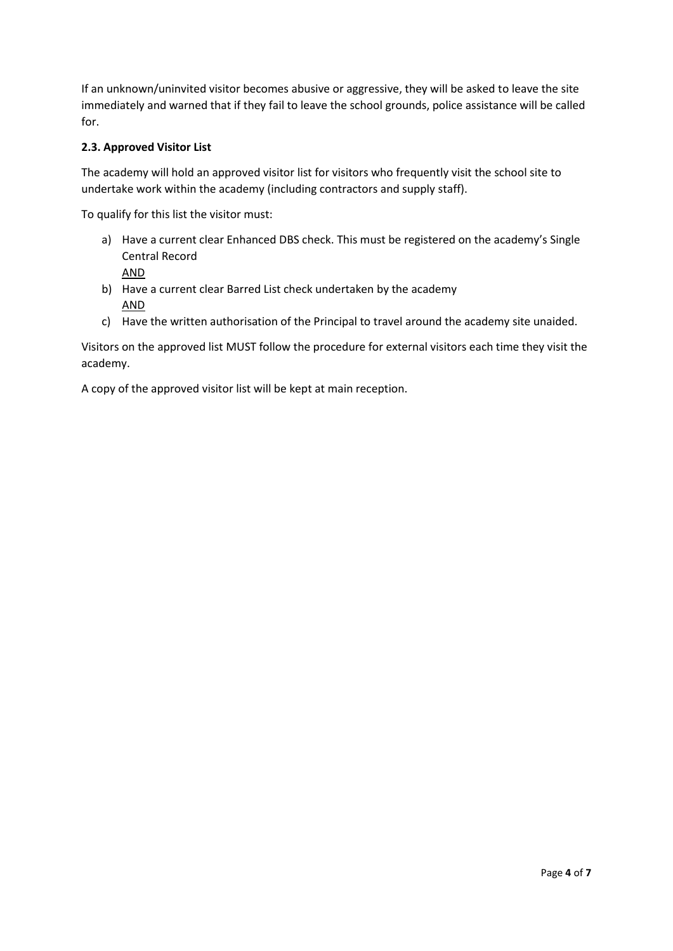If an unknown/uninvited visitor becomes abusive or aggressive, they will be asked to leave the site immediately and warned that if they fail to leave the school grounds, police assistance will be called for.

### **2.3. Approved Visitor List**

The academy will hold an approved visitor list for visitors who frequently visit the school site to undertake work within the academy (including contractors and supply staff).

To qualify for this list the visitor must:

- a) Have a current clear Enhanced DBS check. This must be registered on the academy's Single Central Record AND
- b) Have a current clear Barred List check undertaken by the academy AND
- c) Have the written authorisation of the Principal to travel around the academy site unaided.

Visitors on the approved list MUST follow the procedure for external visitors each time they visit the academy.

A copy of the approved visitor list will be kept at main reception.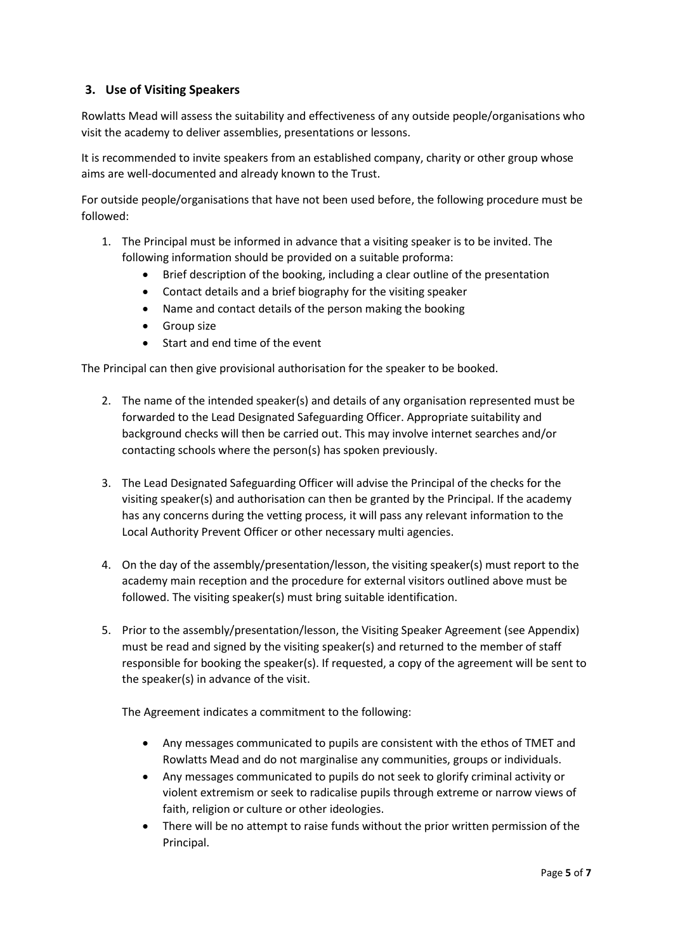## **3. Use of Visiting Speakers**

Rowlatts Mead will assess the suitability and effectiveness of any outside people/organisations who visit the academy to deliver assemblies, presentations or lessons.

It is recommended to invite speakers from an established company, charity or other group whose aims are well-documented and already known to the Trust.

For outside people/organisations that have not been used before, the following procedure must be followed:

- 1. The Principal must be informed in advance that a visiting speaker is to be invited. The following information should be provided on a suitable proforma:
	- Brief description of the booking, including a clear outline of the presentation
	- Contact details and a brief biography for the visiting speaker
	- Name and contact details of the person making the booking
	- Group size
	- Start and end time of the event

The Principal can then give provisional authorisation for the speaker to be booked.

- 2. The name of the intended speaker(s) and details of any organisation represented must be forwarded to the Lead Designated Safeguarding Officer. Appropriate suitability and background checks will then be carried out. This may involve internet searches and/or contacting schools where the person(s) has spoken previously.
- 3. The Lead Designated Safeguarding Officer will advise the Principal of the checks for the visiting speaker(s) and authorisation can then be granted by the Principal. If the academy has any concerns during the vetting process, it will pass any relevant information to the Local Authority Prevent Officer or other necessary multi agencies.
- 4. On the day of the assembly/presentation/lesson, the visiting speaker(s) must report to the academy main reception and the procedure for external visitors outlined above must be followed. The visiting speaker(s) must bring suitable identification.
- 5. Prior to the assembly/presentation/lesson, the Visiting Speaker Agreement (see Appendix) must be read and signed by the visiting speaker(s) and returned to the member of staff responsible for booking the speaker(s). If requested, a copy of the agreement will be sent to the speaker(s) in advance of the visit.

The Agreement indicates a commitment to the following:

- Any messages communicated to pupils are consistent with the ethos of TMET and Rowlatts Mead and do not marginalise any communities, groups or individuals.
- Any messages communicated to pupils do not seek to glorify criminal activity or violent extremism or seek to radicalise pupils through extreme or narrow views of faith, religion or culture or other ideologies.
- There will be no attempt to raise funds without the prior written permission of the Principal.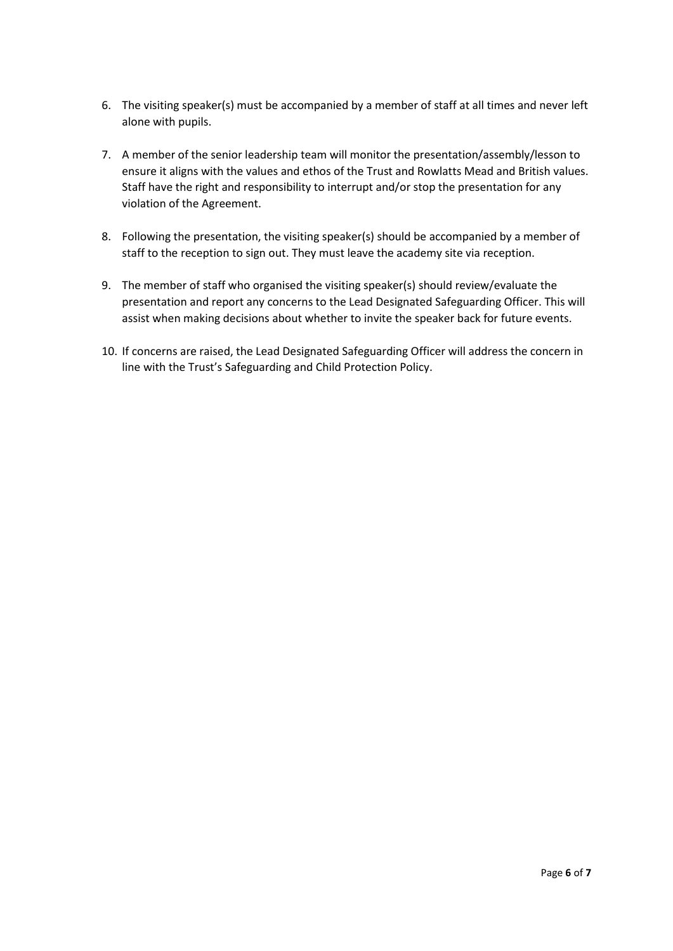- 6. The visiting speaker(s) must be accompanied by a member of staff at all times and never left alone with pupils.
- 7. A member of the senior leadership team will monitor the presentation/assembly/lesson to ensure it aligns with the values and ethos of the Trust and Rowlatts Mead and British values. Staff have the right and responsibility to interrupt and/or stop the presentation for any violation of the Agreement.
- 8. Following the presentation, the visiting speaker(s) should be accompanied by a member of staff to the reception to sign out. They must leave the academy site via reception.
- 9. The member of staff who organised the visiting speaker(s) should review/evaluate the presentation and report any concerns to the Lead Designated Safeguarding Officer. This will assist when making decisions about whether to invite the speaker back for future events.
- 10. If concerns are raised, the Lead Designated Safeguarding Officer will address the concern in line with the Trust's Safeguarding and Child Protection Policy.